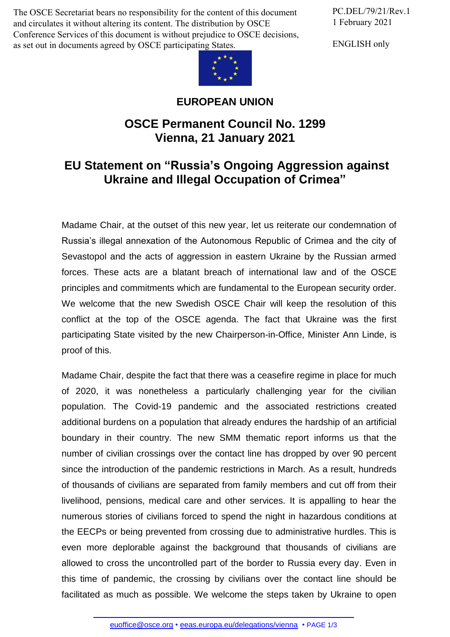The OSCE Secretariat bears no responsibility for the content of this document and circulates it without altering its content. The distribution by OSCE Conference Services of this document is without prejudice to OSCE decisions, as set out in documents agreed by OSCE participating States.

PC.DEL/79/21/Rev.1 1 February 2021

ENGLISH only



## **EUROPEAN UNION**

## **OSCE Permanent Council No. 1299 Vienna, 21 January 2021**

## **EU Statement on "Russia's Ongoing Aggression against Ukraine and Illegal Occupation of Crimea"**

Madame Chair, at the outset of this new year, let us reiterate our condemnation of Russia's illegal annexation of the Autonomous Republic of Crimea and the city of Sevastopol and the acts of aggression in eastern Ukraine by the Russian armed forces. These acts are a blatant breach of international law and of the OSCE principles and commitments which are fundamental to the European security order. We welcome that the new Swedish OSCE Chair will keep the resolution of this conflict at the top of the OSCE agenda. The fact that Ukraine was the first participating State visited by the new Chairperson-in-Office, Minister Ann Linde, is proof of this.

Madame Chair, despite the fact that there was a ceasefire regime in place for much of 2020, it was nonetheless a particularly challenging year for the civilian population. The Covid-19 pandemic and the associated restrictions created additional burdens on a population that already endures the hardship of an artificial boundary in their country. The new SMM thematic report informs us that the number of civilian crossings over the contact line has dropped by over 90 percent since the introduction of the pandemic restrictions in March. As a result, hundreds of thousands of civilians are separated from family members and cut off from their livelihood, pensions, medical care and other services. It is appalling to hear the numerous stories of civilians forced to spend the night in hazardous conditions at the EECPs or being prevented from crossing due to administrative hurdles. This is even more deplorable against the background that thousands of civilians are allowed to cross the uncontrolled part of the border to Russia every day. Even in this time of pandemic, the crossing by civilians over the contact line should be facilitated [as much as possi](mailto:euoffice@osce.org)ble. [We welcome the steps tak](http://eeas.europa.eu/delegations/vienna)en by Ukraine to open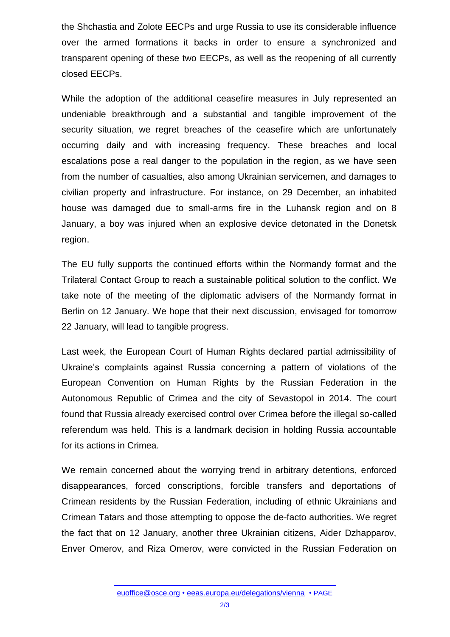the Shchastia and Zolote EECPs and urge Russia to use its considerable influence over the armed formations it backs in order to ensure a synchronized and transparent opening of these two EECPs, as well as the reopening of all currently closed EECPs.

While the adoption of the additional ceasefire measures in July represented an undeniable breakthrough and a substantial and tangible improvement of the security situation, we regret breaches of the ceasefire which are unfortunately occurring daily and with increasing frequency. These breaches and local escalations pose a real danger to the population in the region, as we have seen from the number of casualties, also among Ukrainian servicemen, and damages to civilian property and infrastructure. For instance, on 29 December, an inhabited house was damaged due to small-arms fire in the Luhansk region and on 8 January, a boy was injured when an explosive device detonated in the Donetsk region.

The EU fully supports the continued efforts within the Normandy format and the Trilateral Contact Group to reach a sustainable political solution to the conflict. We take note of the meeting of the diplomatic advisers of the Normandy format in Berlin on 12 January. We hope that their next discussion, envisaged for tomorrow 22 January, will lead to tangible progress.

Last week, the European Court of Human Rights declared partial admissibility of Ukraine's complaints against Russia concerning a pattern of violations of the European Convention on Human Rights by the Russian Federation in the Autonomous Republic of Crimea and the city of Sevastopol in 2014. The court found that Russia already exercised control over Crimea before the illegal so-called referendum was held. This is a landmark decision in holding Russia accountable for its actions in Crimea.

We remain concerned about the worrying trend in arbitrary detentions, enforced disappearances, forced conscriptions, forcible transfers and deportations of Crimean residents by the Russian Federation, including of ethnic Ukrainians and Crimean Tatars and those attempting to oppose the de-facto authorities. We regret the fact that on 12 January, another three Ukrainian citizens, Aider Dzhapparov, Enver Omerov, and Riza Omerov, were convicted in the Russian Federation on